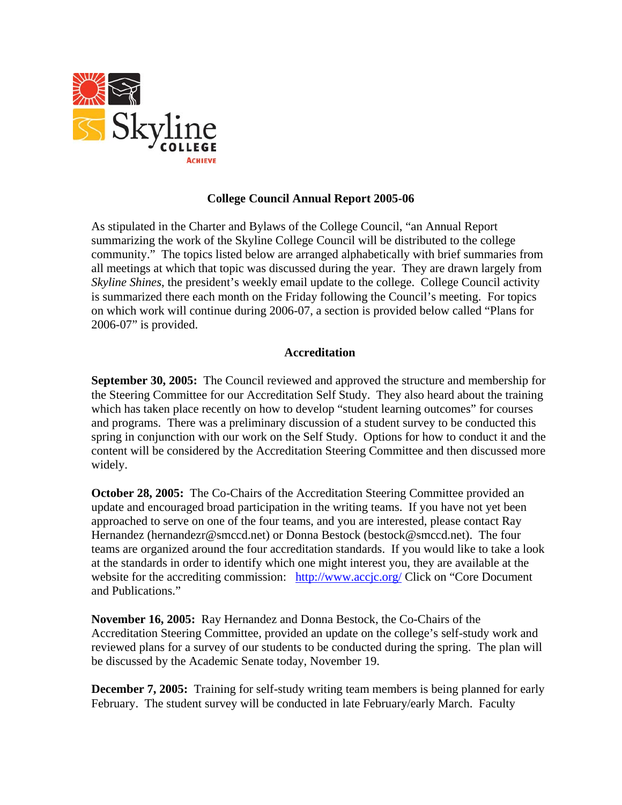

#### **College Council Annual Report 2005-06**

As stipulated in the Charter and Bylaws of the College Council, "an Annual Report summarizing the work of the Skyline College Council will be distributed to the college community." The topics listed below are arranged alphabetically with brief summaries from all meetings at which that topic was discussed during the year. They are drawn largely from *Skyline Shines*, the president's weekly email update to the college. College Council activity is summarized there each month on the Friday following the Council's meeting. For topics on which work will continue during 2006-07, a section is provided below called "Plans for 2006-07" is provided.

#### **Accreditation**

**September 30, 2005:** The Council reviewed and approved the structure and membership for the Steering Committee for our Accreditation Self Study. They also heard about the training which has taken place recently on how to develop "student learning outcomes" for courses and programs. There was a preliminary discussion of a student survey to be conducted this spring in conjunction with our work on the Self Study. Options for how to conduct it and the content will be considered by the Accreditation Steering Committee and then discussed more widely.

**October 28, 2005:** The Co-Chairs of the Accreditation Steering Committee provided an update and encouraged broad participation in the writing teams. If you have not yet been approached to serve on one of the four teams, and you are interested, please contact Ray Hernandez (hernandezr@smccd.net) or Donna Bestock (bestock@smccd.net). The four teams are organized around the four accreditation standards. If you would like to take a look at the standards in order to identify which one might interest you, they are available at the website for the accrediting commission: http://www.accjc.org/ Click on "Core Document" and Publications."

**November 16, 2005:** Ray Hernandez and Donna Bestock, the Co-Chairs of the Accreditation Steering Committee, provided an update on the college's self-study work and reviewed plans for a survey of our students to be conducted during the spring. The plan will be discussed by the Academic Senate today, November 19.

**December 7, 2005:** Training for self-study writing team members is being planned for early February. The student survey will be conducted in late February/early March. Faculty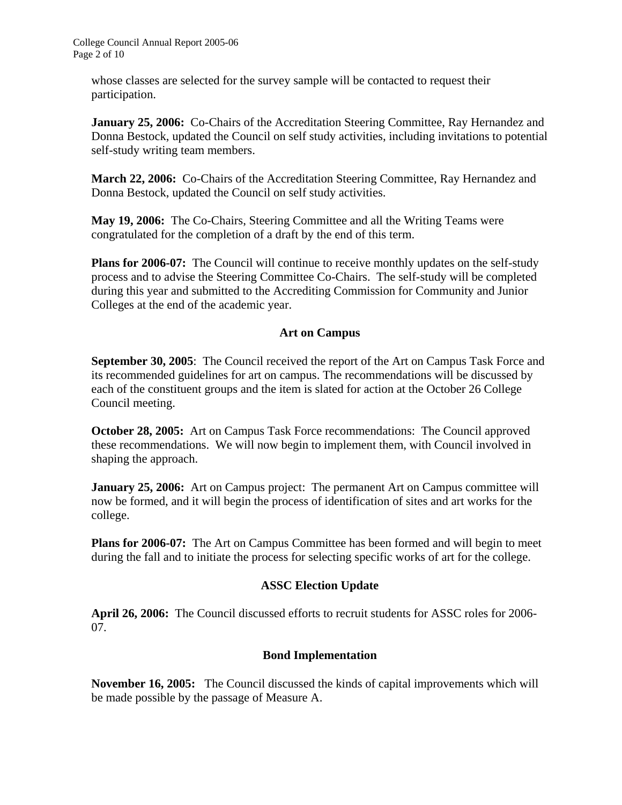whose classes are selected for the survey sample will be contacted to request their participation.

January 25, 2006: Co-Chairs of the Accreditation Steering Committee, Ray Hernandez and Donna Bestock, updated the Council on self study activities, including invitations to potential self-study writing team members.

**March 22, 2006:** Co-Chairs of the Accreditation Steering Committee, Ray Hernandez and Donna Bestock, updated the Council on self study activities.

**May 19, 2006:** The Co-Chairs, Steering Committee and all the Writing Teams were congratulated for the completion of a draft by the end of this term.

**Plans for 2006-07:** The Council will continue to receive monthly updates on the self-study process and to advise the Steering Committee Co-Chairs. The self-study will be completed during this year and submitted to the Accrediting Commission for Community and Junior Colleges at the end of the academic year.

## **Art on Campus**

**September 30, 2005:** The Council received the report of the Art on Campus Task Force and its recommended guidelines for art on campus. The recommendations will be discussed by each of the constituent groups and the item is slated for action at the October 26 College Council meeting.

**October 28, 2005:** Art on Campus Task Force recommendations: The Council approved these recommendations. We will now begin to implement them, with Council involved in shaping the approach.

**January 25, 2006:** Art on Campus project: The permanent Art on Campus committee will now be formed, and it will begin the process of identification of sites and art works for the college.

**Plans for 2006-07:** The Art on Campus Committee has been formed and will begin to meet during the fall and to initiate the process for selecting specific works of art for the college.

# **ASSC Election Update**

**April 26, 2006:** The Council discussed efforts to recruit students for ASSC roles for 2006- 07.

### **Bond Implementation**

**November 16, 2005:** The Council discussed the kinds of capital improvements which will be made possible by the passage of Measure A.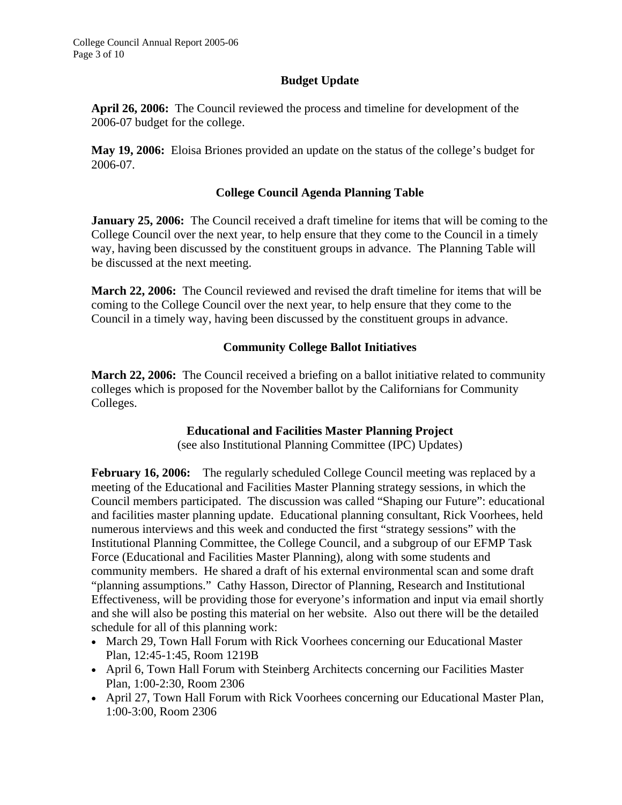## **Budget Update**

**April 26, 2006:** The Council reviewed the process and timeline for development of the 2006-07 budget for the college.

**May 19, 2006:** Eloisa Briones provided an update on the status of the college's budget for 2006-07.

## **College Council Agenda Planning Table**

**January 25, 2006:** The Council received a draft timeline for items that will be coming to the College Council over the next year, to help ensure that they come to the Council in a timely way, having been discussed by the constituent groups in advance. The Planning Table will be discussed at the next meeting.

**March 22, 2006:** The Council reviewed and revised the draft timeline for items that will be coming to the College Council over the next year, to help ensure that they come to the Council in a timely way, having been discussed by the constituent groups in advance.

## **Community College Ballot Initiatives**

**March 22, 2006:** The Council received a briefing on a ballot initiative related to community colleges which is proposed for the November ballot by the Californians for Community Colleges.

### **Educational and Facilities Master Planning Project**

(see also Institutional Planning Committee (IPC) Updates)

**February 16, 2006:** The regularly scheduled College Council meeting was replaced by a meeting of the Educational and Facilities Master Planning strategy sessions, in which the Council members participated. The discussion was called "Shaping our Future": educational and facilities master planning update. Educational planning consultant, Rick Voorhees, held numerous interviews and this week and conducted the first "strategy sessions" with the Institutional Planning Committee, the College Council, and a subgroup of our EFMP Task Force (Educational and Facilities Master Planning), along with some students and community members. He shared a draft of his external environmental scan and some draft "planning assumptions." Cathy Hasson, Director of Planning, Research and Institutional Effectiveness, will be providing those for everyone's information and input via email shortly and she will also be posting this material on her website. Also out there will be the detailed schedule for all of this planning work:

- March 29, Town Hall Forum with Rick Voorhees concerning our Educational Master Plan, 12:45-1:45, Room 1219B
- April 6, Town Hall Forum with Steinberg Architects concerning our Facilities Master Plan, 1:00-2:30, Room 2306
- April 27, Town Hall Forum with Rick Voorhees concerning our Educational Master Plan, 1:00-3:00, Room 2306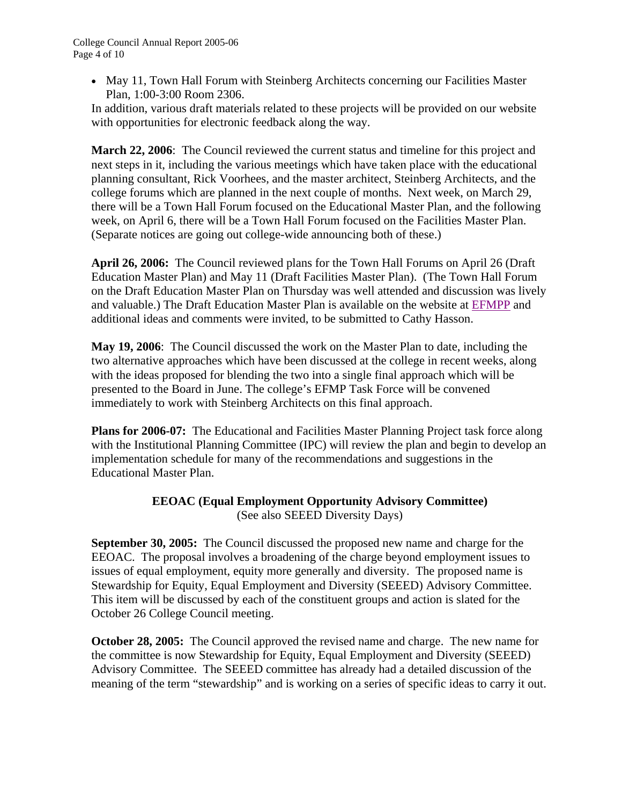• May 11, Town Hall Forum with Steinberg Architects concerning our Facilities Master Plan, 1:00-3:00 Room 2306.

In addition, various draft materials related to these projects will be provided on our website with opportunities for electronic feedback along the way.

**March 22, 2006**: The Council reviewed the current status and timeline for this project and next steps in it, including the various meetings which have taken place with the educational planning consultant, Rick Voorhees, and the master architect, Steinberg Architects, and the college forums which are planned in the next couple of months. Next week, on March 29, there will be a Town Hall Forum focused on the Educational Master Plan, and the following week, on April 6, there will be a Town Hall Forum focused on the Facilities Master Plan. (Separate notices are going out college-wide announcing both of these.)

**April 26, 2006:** The Council reviewed plans for the Town Hall Forums on April 26 (Draft Education Master Plan) and May 11 (Draft Facilities Master Plan). (The Town Hall Forum on the Draft Education Master Plan on Thursday was well attended and discussion was lively and valuable.) The Draft Education Master Plan is available on the website at [EFMPP a](http://www.smccd.net/accounts/skypro/Ed%20Facilities%20Master%20Plan%2006/education_and_facilities_master.htm)nd additional ideas and comments were invited, to be submitted to Cathy Hasson.

**May 19, 2006**: The Council discussed the work on the Master Plan to date, including the two alternative approaches which have been discussed at the college in recent weeks, along with the ideas proposed for blending the two into a single final approach which will be presented to the Board in June. The college's EFMP Task Force will be convened immediately to work with Steinberg Architects on this final approach.

**Plans for 2006-07:** The Educational and Facilities Master Planning Project task force along with the Institutional Planning Committee (IPC) will review the plan and begin to develop an implementation schedule for many of the recommendations and suggestions in the Educational Master Plan.

### **EEOAC (Equal Employment Opportunity Advisory Committee)**  (See also SEEED Diversity Days)

**September 30, 2005:** The Council discussed the proposed new name and charge for the EEOAC. The proposal involves a broadening of the charge beyond employment issues to issues of equal employment, equity more generally and diversity. The proposed name is Stewardship for Equity, Equal Employment and Diversity (SEEED) Advisory Committee. This item will be discussed by each of the constituent groups and action is slated for the October 26 College Council meeting.

**October 28, 2005:** The Council approved the revised name and charge. The new name for the committee is now Stewardship for Equity, Equal Employment and Diversity (SEEED) Advisory Committee. The SEEED committee has already had a detailed discussion of the meaning of the term "stewardship" and is working on a series of specific ideas to carry it out.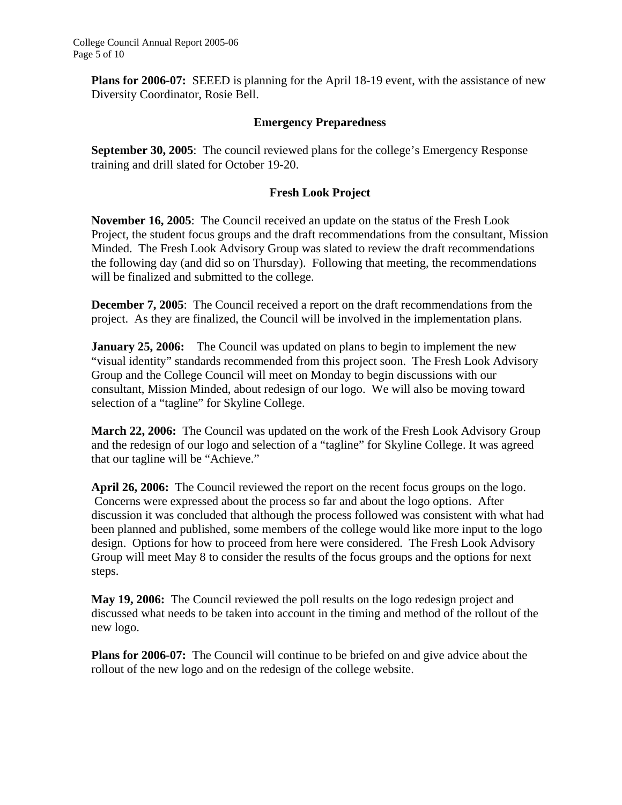**Plans for 2006-07:** SEEED is planning for the April 18-19 event, with the assistance of new Diversity Coordinator, Rosie Bell.

#### **Emergency Preparedness**

**September 30, 2005**: The council reviewed plans for the college's Emergency Response training and drill slated for October 19-20.

#### **Fresh Look Project**

**November 16, 2005**: The Council received an update on the status of the Fresh Look Project, the student focus groups and the draft recommendations from the consultant, Mission Minded. The Fresh Look Advisory Group was slated to review the draft recommendations the following day (and did so on Thursday). Following that meeting, the recommendations will be finalized and submitted to the college.

**December 7, 2005**: The Council received a report on the draft recommendations from the project. As they are finalized, the Council will be involved in the implementation plans.

**January 25, 2006:** The Council was updated on plans to begin to implement the new "visual identity" standards recommended from this project soon. The Fresh Look Advisory Group and the College Council will meet on Monday to begin discussions with our consultant, Mission Minded, about redesign of our logo. We will also be moving toward selection of a "tagline" for Skyline College.

**March 22, 2006:** The Council was updated on the work of the Fresh Look Advisory Group and the redesign of our logo and selection of a "tagline" for Skyline College. It was agreed that our tagline will be "Achieve."

**April 26, 2006:** The Council reviewed the report on the recent focus groups on the logo. Concerns were expressed about the process so far and about the logo options. After discussion it was concluded that although the process followed was consistent with what had been planned and published, some members of the college would like more input to the logo design. Options for how to proceed from here were considered. The Fresh Look Advisory Group will meet May 8 to consider the results of the focus groups and the options for next steps.

**May 19, 2006:** The Council reviewed the poll results on the logo redesign project and discussed what needs to be taken into account in the timing and method of the rollout of the new logo.

**Plans for 2006-07:** The Council will continue to be briefed on and give advice about the rollout of the new logo and on the redesign of the college website.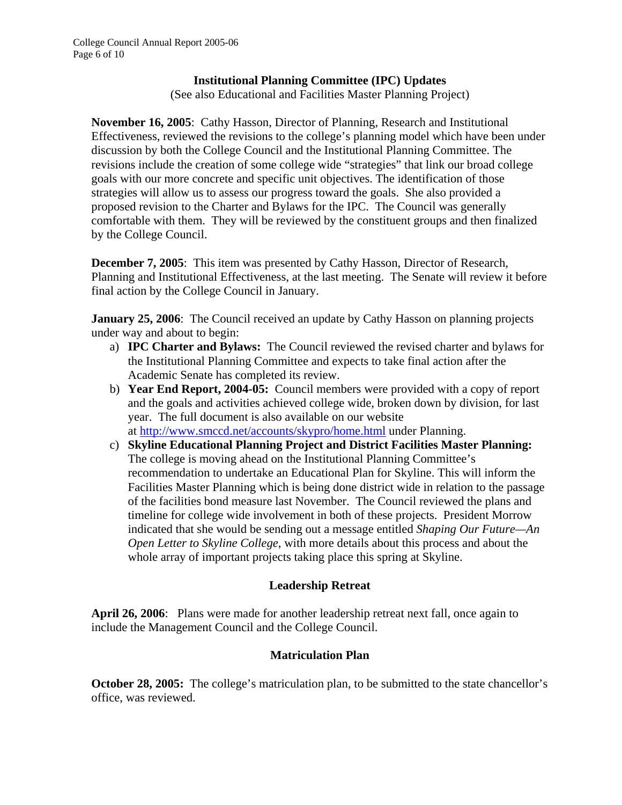#### **Institutional Planning Committee (IPC) Updates**

(See also Educational and Facilities Master Planning Project)

**November 16, 2005**: Cathy Hasson, Director of Planning, Research and Institutional Effectiveness, reviewed the revisions to the college's planning model which have been under discussion by both the College Council and the Institutional Planning Committee. The revisions include the creation of some college wide "strategies" that link our broad college goals with our more concrete and specific unit objectives. The identification of those strategies will allow us to assess our progress toward the goals. She also provided a proposed revision to the Charter and Bylaws for the IPC. The Council was generally comfortable with them. They will be reviewed by the constituent groups and then finalized by the College Council.

**December 7, 2005**:This item was presented by Cathy Hasson, Director of Research, Planning and Institutional Effectiveness, at the last meeting. The Senate will review it before final action by the College Council in January.

**January 25, 2006**: The Council received an update by Cathy Hasson on planning projects under way and about to begin:

- a) **IPC Charter and Bylaws:** The Council reviewed the revised charter and bylaws for the Institutional Planning Committee and expects to take final action after the Academic Senate has completed its review.
- b) **Year End Report, 2004-05:** Council members were provided with a copy of report and the goals and activities achieved college wide, broken down by division, for last year. The full document is also available on our website at http://www.smccd.net/accounts/skypro/home.html under Planning.
- c) **Skyline Educational Planning Project and District Facilities Master Planning:**  The college is moving ahead on the Institutional Planning Committee's recommendation to undertake an Educational Plan for Skyline. This will inform the Facilities Master Planning which is being done district wide in relation to the passage of the facilities bond measure last November. The Council reviewed the plans and timeline for college wide involvement in both of these projects. President Morrow indicated that she would be sending out a message entitled *Shaping Our Future—An Open Letter to Skyline College*, with more details about this process and about the whole array of important projects taking place this spring at Skyline.

### **Leadership Retreat**

**April 26, 2006**: Plans were made for another leadership retreat next fall, once again to include the Management Council and the College Council.

### **Matriculation Plan**

**October 28, 2005:** The college's matriculation plan, to be submitted to the state chancellor's office, was reviewed.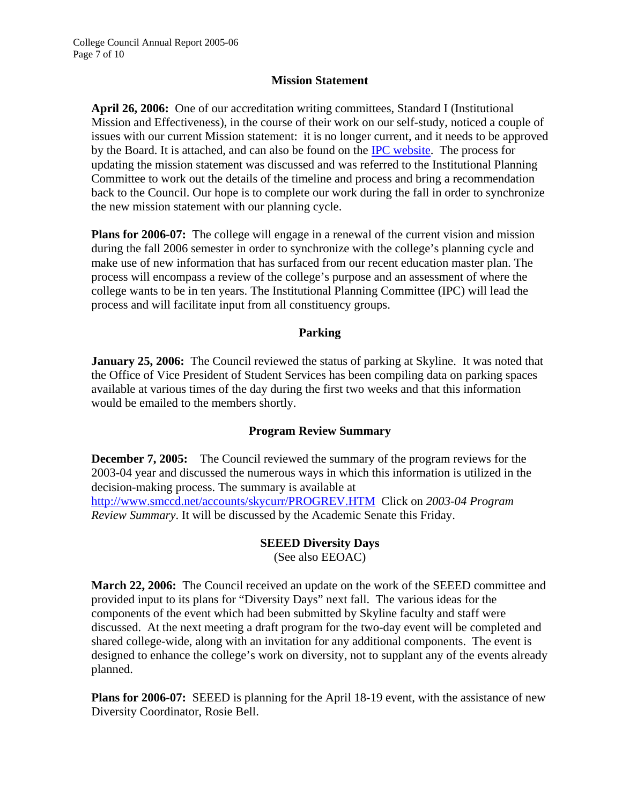#### **Mission Statement**

**April 26, 2006:** One of our accreditation writing committees, Standard I (Institutional Mission and Effectiveness), in the course of their work on our self-study, noticed a couple of issues with our current Mission statement: it is no longer current, and it needs to be approved by the Board. It is attached, and can also be found on the [IPC website.](http://www.smccd.net/accounts/skypro/IPC/index.htm) The process for updating the mission statement was discussed and was referred to the Institutional Planning Committee to work out the details of the timeline and process and bring a recommendation back to the Council. Our hope is to complete our work during the fall in order to synchronize the new mission statement with our planning cycle.

**Plans for 2006-07:** The college will engage in a renewal of the current vision and mission during the fall 2006 semester in order to synchronize with the college's planning cycle and make use of new information that has surfaced from our recent education master plan. The process will encompass a review of the college's purpose and an assessment of where the college wants to be in ten years. The Institutional Planning Committee (IPC) will lead the process and will facilitate input from all constituency groups.

#### **Parking**

**January 25, 2006:** The Council reviewed the status of parking at Skyline. It was noted that the Office of Vice President of Student Services has been compiling data on parking spaces available at various times of the day during the first two weeks and that this information would be emailed to the members shortly.

### **Program Review Summary**

**December 7, 2005:** The Council reviewed the summary of the program reviews for the 2003-04 year and discussed the numerous ways in which this information is utilized in the decision-making process. The summary is available at http://www.smccd.net/accounts/skycurr/PROGREV.HTM Click on *2003-04 Program Review Summary*. It will be discussed by the Academic Senate this Friday.

### **SEEED Diversity Days**

(See also EEOAC)

**March 22, 2006:** The Council received an update on the work of the SEEED committee and provided input to its plans for "Diversity Days" next fall. The various ideas for the components of the event which had been submitted by Skyline faculty and staff were discussed. At the next meeting a draft program for the two-day event will be completed and shared college-wide, along with an invitation for any additional components. The event is designed to enhance the college's work on diversity, not to supplant any of the events already planned.

**Plans for 2006-07:** SEEED is planning for the April 18-19 event, with the assistance of new Diversity Coordinator, Rosie Bell.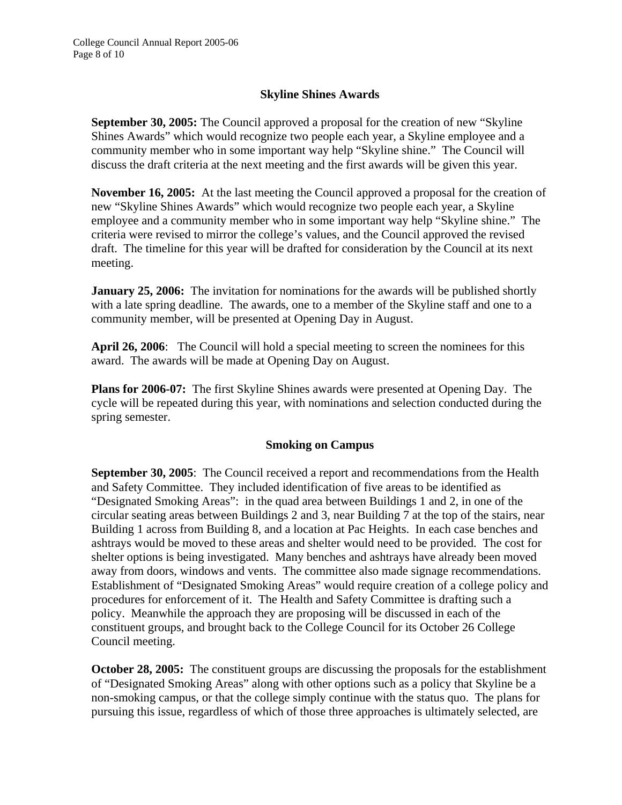## **Skyline Shines Awards**

**September 30, 2005:** The Council approved a proposal for the creation of new "Skyline Shines Awards" which would recognize two people each year, a Skyline employee and a community member who in some important way help "Skyline shine." The Council will discuss the draft criteria at the next meeting and the first awards will be given this year.

**November 16, 2005:** At the last meeting the Council approved a proposal for the creation of new "Skyline Shines Awards" which would recognize two people each year, a Skyline employee and a community member who in some important way help "Skyline shine." The criteria were revised to mirror the college's values, and the Council approved the revised draft. The timeline for this year will be drafted for consideration by the Council at its next meeting.

**January 25, 2006:** The invitation for nominations for the awards will be published shortly with a late spring deadline. The awards, one to a member of the Skyline staff and one to a community member, will be presented at Opening Day in August.

**April 26, 2006**: The Council will hold a special meeting to screen the nominees for this award. The awards will be made at Opening Day on August.

**Plans for 2006-07:** The first Skyline Shines awards were presented at Opening Day. The cycle will be repeated during this year, with nominations and selection conducted during the spring semester.

### **Smoking on Campus**

**September 30, 2005**: The Council received a report and recommendations from the Health and Safety Committee. They included identification of five areas to be identified as "Designated Smoking Areas": in the quad area between Buildings 1 and 2, in one of the circular seating areas between Buildings 2 and 3, near Building 7 at the top of the stairs, near Building 1 across from Building 8, and a location at Pac Heights. In each case benches and ashtrays would be moved to these areas and shelter would need to be provided. The cost for shelter options is being investigated. Many benches and ashtrays have already been moved away from doors, windows and vents. The committee also made signage recommendations. Establishment of "Designated Smoking Areas" would require creation of a college policy and procedures for enforcement of it. The Health and Safety Committee is drafting such a policy. Meanwhile the approach they are proposing will be discussed in each of the constituent groups, and brought back to the College Council for its October 26 College Council meeting.

**October 28, 2005:** The constituent groups are discussing the proposals for the establishment of "Designated Smoking Areas" along with other options such as a policy that Skyline be a non-smoking campus, or that the college simply continue with the status quo. The plans for pursuing this issue, regardless of which of those three approaches is ultimately selected, are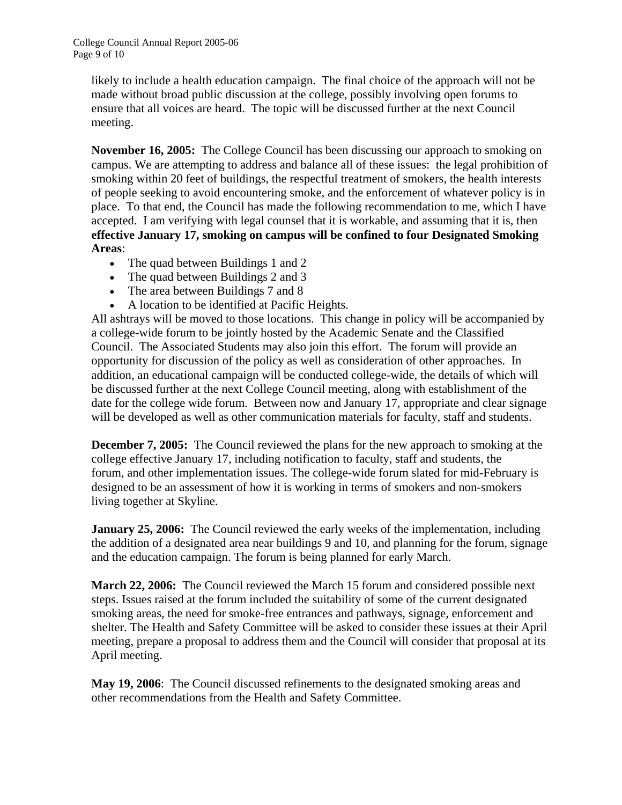likely to include a health education campaign. The final choice of the approach will not be made without broad public discussion at the college, possibly involving open forums to ensure that all voices are heard. The topic will be discussed further at the next Council meeting.

**November 16, 2005:** The College Council has been discussing our approach to smoking on campus. We are attempting to address and balance all of these issues: the legal prohibition of smoking within 20 feet of buildings, the respectful treatment of smokers, the health interests of people seeking to avoid encountering smoke, and the enforcement of whatever policy is in place. To that end, the Council has made the following recommendation to me, which I have accepted. I am verifying with legal counsel that it is workable, and assuming that it is, then **effective January 17, smoking on campus will be confined to four Designated Smoking Areas**:

- The quad between Buildings 1 and 2
- The quad between Buildings 2 and 3
- The area between Buildings 7 and 8
- A location to be identified at Pacific Heights.

All ashtrays will be moved to those locations. This change in policy will be accompanied by a college-wide forum to be jointly hosted by the Academic Senate and the Classified Council. The Associated Students may also join this effort. The forum will provide an opportunity for discussion of the policy as well as consideration of other approaches. In addition, an educational campaign will be conducted college-wide, the details of which will be discussed further at the next College Council meeting, along with establishment of the date for the college wide forum. Between now and January 17, appropriate and clear signage will be developed as well as other communication materials for faculty, staff and students.

**December 7, 2005:** The Council reviewed the plans for the new approach to smoking at the college effective January 17, including notification to faculty, staff and students, the forum, and other implementation issues. The college-wide forum slated for mid-February is designed to be an assessment of how it is working in terms of smokers and non-smokers living together at Skyline.

**January 25, 2006:** The Council reviewed the early weeks of the implementation, including the addition of a designated area near buildings 9 and 10, and planning for the forum, signage and the education campaign. The forum is being planned for early March.

**March 22, 2006:** The Council reviewed the March 15 forum and considered possible next steps. Issues raised at the forum included the suitability of some of the current designated smoking areas, the need for smoke-free entrances and pathways, signage, enforcement and shelter. The Health and Safety Committee will be asked to consider these issues at their April meeting, prepare a proposal to address them and the Council will consider that proposal at its April meeting.

**May 19, 2006**: The Council discussed refinements to the designated smoking areas and other recommendations from the Health and Safety Committee.